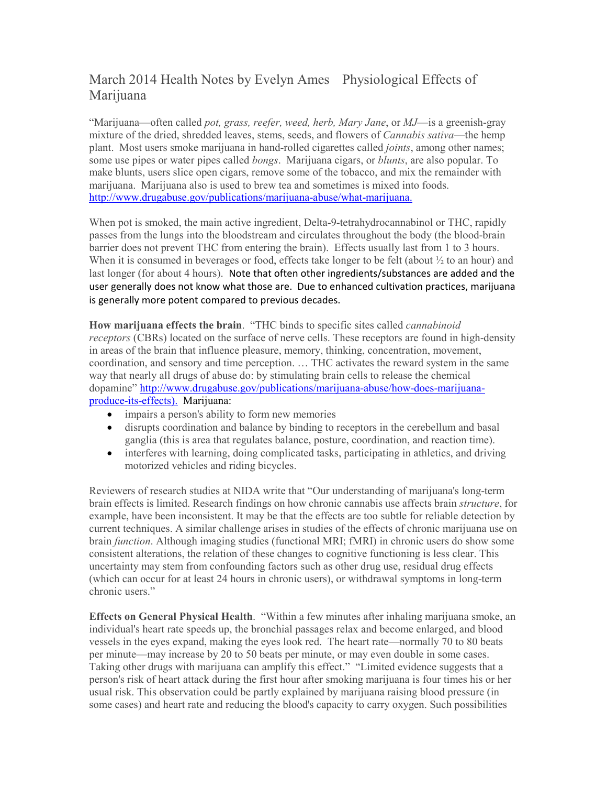## March 2014 Health Notes by Evelyn Ames Physiological Effects of Marijuana

"Marijuana—often called *pot, grass, reefer, weed, herb, Mary Jane*, or *MJ*—is a greenish-gray mixture of the dried, shredded leaves, stems, seeds, and flowers of *Cannabis sativa*—the hemp plant. Most users smoke marijuana in hand-rolled cigarettes called *joints*, among other names; some use pipes or water pipes called *bongs*. Marijuana cigars, or *blunts*, are also popular. To make blunts, users slice open cigars, remove some of the tobacco, and mix the remainder with marijuana. Marijuana also is used to brew tea and sometimes is mixed into foods. http://www.drugabuse.gov/publications/marijuana-abuse/what-marijuana.

When pot is smoked, the main active ingredient, Delta-9-tetrahydrocannabinol or THC, rapidly passes from the lungs into the bloodstream and circulates throughout the body (the blood-brain barrier does not prevent THC from entering the brain). Effects usually last from 1 to 3 hours. When it is consumed in beverages or food, effects take longer to be felt (about  $\frac{1}{2}$  to an hour) and last longer (for about 4 hours). Note that often other ingredients/substances are added and the user generally does not know what those are. Due to enhanced cultivation practices, marijuana is generally more potent compared to previous decades.

**How marijuana effects the brain**. "THC binds to specific sites called *cannabinoid receptors* (CBRs) located on the surface of nerve cells. These receptors are found in high-density in areas of the brain that influence pleasure, memory, thinking, concentration, movement, coordination, and sensory and time perception. … THC activates the reward system in the same way that nearly all drugs of abuse do: by stimulating brain cells to release the chemical dopamine" http://www.drugabuse.gov/publications/marijuana-abuse/how-does-marijuanaproduce-its-effects). Marijuana:

- impairs a person's ability to form new memories
- disrupts coordination and balance by binding to receptors in the cerebellum and basal ganglia (this is area that regulates balance, posture, coordination, and reaction time).
- interferes with learning, doing complicated tasks, participating in athletics, and driving motorized vehicles and riding bicycles.

Reviewers of research studies at NIDA write that "Our understanding of marijuana's long-term brain effects is limited. Research findings on how chronic cannabis use affects brain *structure*, for example, have been inconsistent. It may be that the effects are too subtle for reliable detection by current techniques. A similar challenge arises in studies of the effects of chronic marijuana use on brain *function*. Although imaging studies (functional MRI; fMRI) in chronic users do show some consistent alterations, the relation of these changes to cognitive functioning is less clear. This uncertainty may stem from confounding factors such as other drug use, residual drug effects (which can occur for at least 24 hours in chronic users), or withdrawal symptoms in long-term chronic users."

**Effects on General Physical Health**. "Within a few minutes after inhaling marijuana smoke, an individual's heart rate speeds up, the bronchial passages relax and become enlarged, and blood vessels in the eyes expand, making the eyes look red. The heart rate—normally 70 to 80 beats per minute—may increase by 20 to 50 beats per minute, or may even double in some cases. Taking other drugs with marijuana can amplify this effect." "Limited evidence suggests that a person's risk of heart attack during the first hour after smoking marijuana is four times his or her usual risk. This observation could be partly explained by marijuana raising blood pressure (in some cases) and heart rate and reducing the blood's capacity to carry oxygen. Such possibilities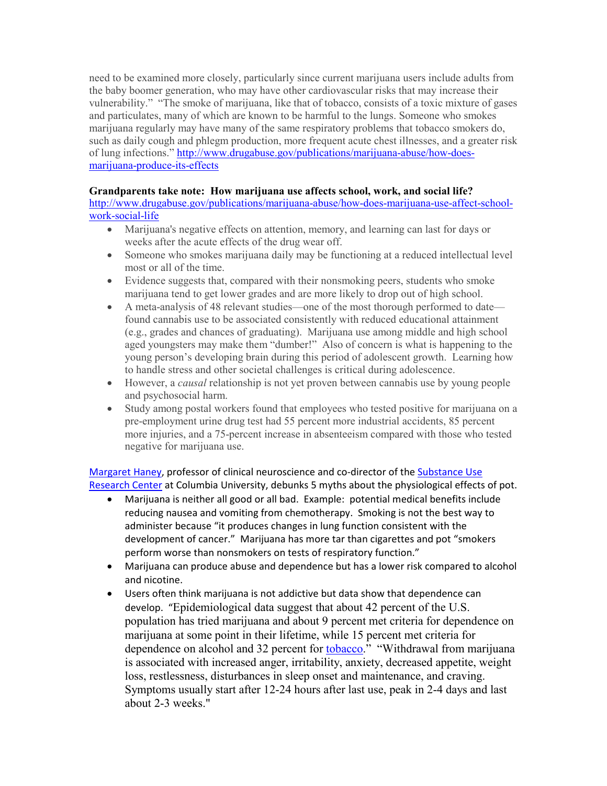need to be examined more closely, particularly since current marijuana users include adults from the baby boomer generation, who may have other cardiovascular risks that may increase their vulnerability." "The smoke of marijuana, like that of tobacco, consists of a toxic mixture of gases and particulates, many of which are known to be harmful to the lungs. Someone who smokes marijuana regularly may have many of the same respiratory problems that tobacco smokers do, such as daily cough and phlegm production, more frequent acute chest illnesses, and a greater risk of lung infections." http://www.drugabuse.gov/publications/marijuana-abuse/how-doesmarijuana-produce-its-effects

## **Grandparents take note: How marijuana use affects school, work, and social life?**

http://www.drugabuse.gov/publications/marijuana-abuse/how-does-marijuana-use-affect-schoolwork-social-life

- Marijuana's negative effects on attention, memory, and learning can last for days or weeks after the acute effects of the drug wear off.
- Someone who smokes marijuana daily may be functioning at a reduced intellectual level most or all of the time.
- Evidence suggests that, compared with their nonsmoking peers, students who smoke marijuana tend to get lower grades and are more likely to drop out of high school.
- A meta-analysis of 48 relevant studies—one of the most thorough performed to date found cannabis use to be associated consistently with reduced educational attainment (e.g., grades and chances of graduating). Marijuana use among middle and high school aged youngsters may make them "dumber!" Also of concern is what is happening to the young person's developing brain during this period of adolescent growth. Learning how to handle stress and other societal challenges is critical during adolescence.
- However, a *causal* relationship is not yet proven between cannabis use by young people and psychosocial harm.
- Study among postal workers found that employees who tested positive for marijuana on a pre-employment urine drug test had 55 percent more industrial accidents, 85 percent more injuries, and a 75-percent increase in absenteeism compared with those who tested negative for marijuana use.

Margaret Haney, professor of clinical neuroscience and co-director of the Substance Use Research Center at Columbia University, debunks 5 myths about the physiological effects of pot.

- Marijuana is neither all good or all bad. Example: potential medical benefits include reducing nausea and vomiting from chemotherapy. Smoking is not the best way to administer because "it produces changes in lung function consistent with the development of cancer." Marijuana has more tar than cigarettes and pot "smokers perform worse than nonsmokers on tests of respiratory function."
- Marijuana can produce abuse and dependence but has a lower risk compared to alcohol and nicotine.
- Users often think marijuana is not addictive but data show that dependence can develop. "Epidemiological data suggest that about 42 percent of the U.S. population has tried marijuana and about 9 percent met criteria for dependence on marijuana at some point in their lifetime, while 15 percent met criteria for dependence on alcohol and 32 percent for **tobacco**." "Withdrawal from marijuana is associated with increased anger, irritability, anxiety, decreased appetite, weight loss, restlessness, disturbances in sleep onset and maintenance, and craving. Symptoms usually start after 12-24 hours after last use, peak in 2-4 days and last about 2-3 weeks."